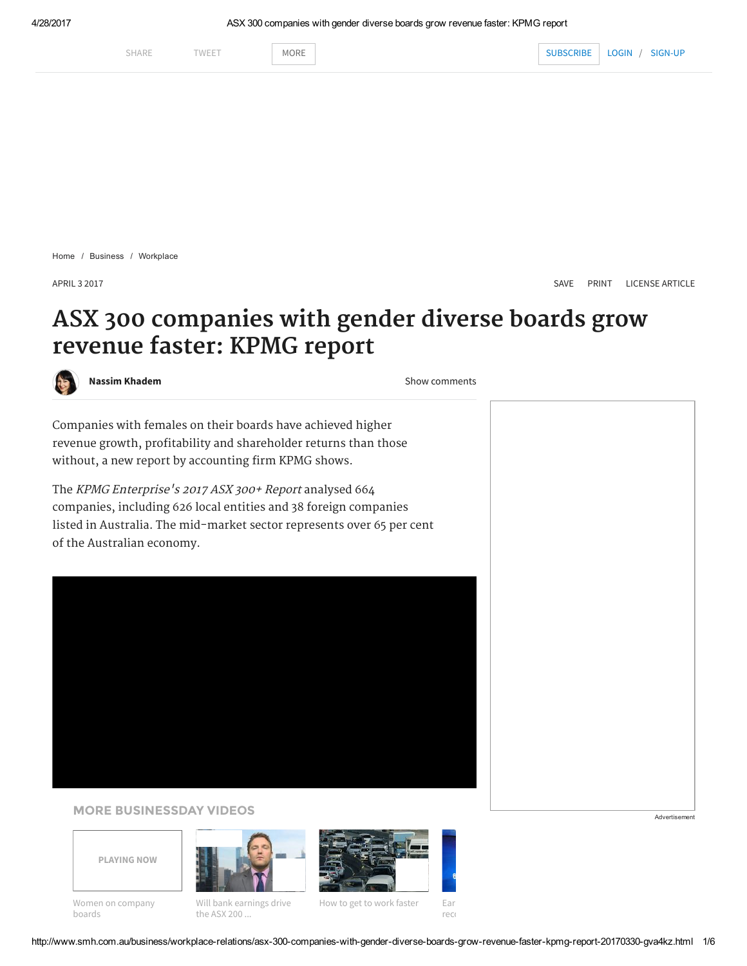

[Home](http://www.smh.com.au/) / [Business](http://www.smh.com.au/business) / [Workplace](http://www.smh.com.au/business/workplace-relations)

APRIL 3 2017 [SAVE](javascript:;) [PRINT](http://www.smh.com.au/business/workplace-relations/asx-300-companies-with-gender-diverse-boards-grow-revenue-faster-kpmg-report-20170330-gva4kz.html?deviceType=text) [LICENSE ARTICLE](http://rightsportal.copyright.com.au/pages/republicationpage.aspx?publisher=fxj&publication=SMH&author=Nassim%20Khadem&title=ASX+300+companies+with+gender+diverse+boards+grow+revenue+faster%3A+KPMG+report&publicationdate=02/04/2017&url=http://www.smh.com.au/business/workplace-relations/asx-300-companies-with-gender-diverse-boards-grow-revenue-faster-kpmg-report-20170330-gva4kz.html)

# ASX 300 companies with gender diverse boards grow revenue faster: KPMG report



[Nassim Khadem](http://www.smh.com.au/business/by/Nassim-Khadem-1m8urh) **[Show comments](#page-3-0)** Show comments

Companies with females on their boards have achieved higher revenue growth, profitability and shareholder returns than those without, a new report by accounting firm KPMG shows.

The KPMG Enterprise's 2017 ASX 300+ Report analysed 664 companies, including 626 local entities and 38 foreign companies listed in Australia. The mid-market sector represents over 65 per cent of the Australian economy.

#### MORE BUSINESSDAY VIDEOS Advertisement







boards the ASX 200 ... The ASX 200 state of the ASX 200 state of the ASX 200 state of the ASX 200 state of the ASX 200 state of the ASX 200 state of the ASX 200 state of the ASX 200 state of the ASX 200 state of the ASX 20

[Women on company](http://www.smh.com.au/video/video-business/video-businessday/women-on-company-boards-20170308-4rh6d.html) [Will bank earnings drive](http://www.smh.com.au/video/video-business/video-businessday/will-bank-earnings-drive-the-asx-200-towards-6000-20170428-4tgrq.html) [How to get to work faster](http://www.smh.com.au/video/video-business/video-businessday/how-to-get-to-work-faster-20161122-4nh8d.html) [Earn](http://www.smh.com.au/video/video-news/video-world-news/earnings-lift-nasdaq-to-record-20170428-4tg15.html)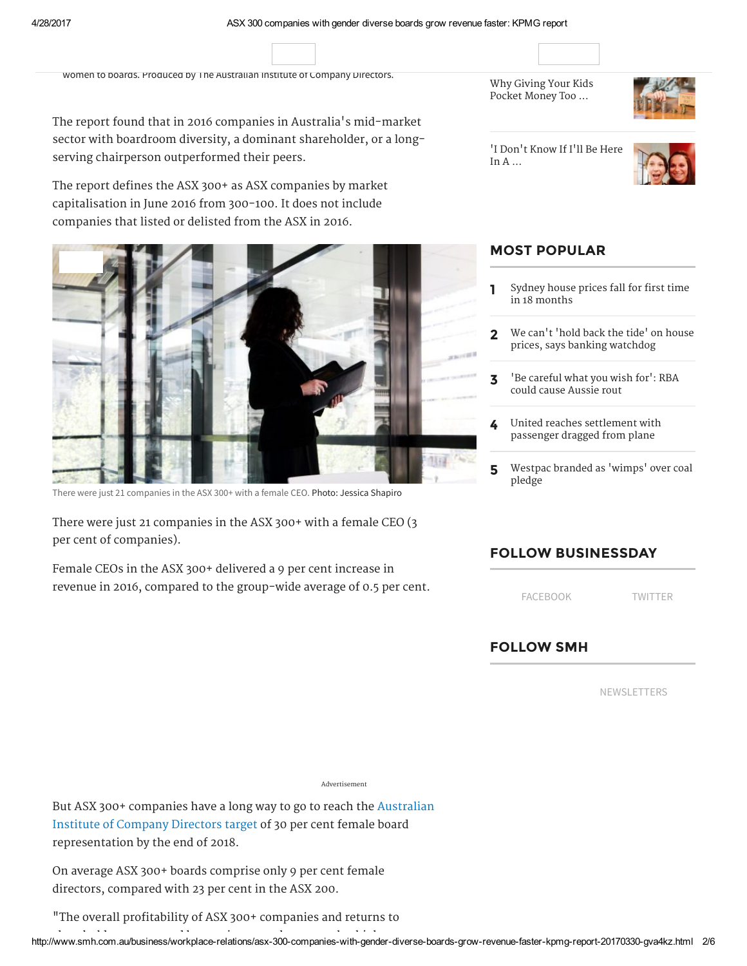[Wom](http://www.smh.com.au/business/national)[en on c](http://www.smh.com.au/business/markets)[ompany](http://www.smh.com.au/business/markets/quotes) boards and company boards and company boards and company boards and

News [Markets Quo](https://www.facebook.com/sharer/sharer.php?u=http%3A%2F%2Fwww.smh.com.au%2Fbusiness%2Fworkplace-relations%2Fasx-300-companies-with-gender-diverse-boards-grow-revenue-faster-kpmg-report-20170330-gva4kz.html&title=Companies+with+gender+diverse+boards+made+more+money)[tes](https://twitter.com/share?url=http%3A%2F%2Fwww.smh.com.au%2Fbusiness%2Fworkplace-relations%2Fasx-300-companies-with-gender-diverse-boards-grow-revenue-faster-kpmg-report-20170330-gva4kz.html&text=Companies+with+gender+diverse+boards+made+more+money&via=smh) [Federal Budget 2017](http://www.smh.com.au/business/federal-budget-2017) [Workplace](http://www.smh.com.au/business/workplace-relations) [Consumer](http://www.smh.com.au/business/consumer-affairs) [Retail](http://www.smh.com.au/business/retail) [Economy](http://www.smh.com.au/business/the-economy) CBD Money Small Biz HU[FFPO](http://www.smh.com.au/business/cbd)[ST AU](http://www.smh.com.au/money)[STRALIA](http://www.smh.com.au/small-business)

SHARE TWEET MORE SUBSCRIBE LOGIN / [SIGN-UP](https://smh.myfairfax.com.au/members/members/signup?channel_key=Dks89-tJMqw6zsOGPU5c5Q&callback_uri=http%3A%2F%2Fwww.smh.com.au&single_use_token=true)

women to boards. Produced by The Australian Institute of Company Directors.

The report found that in 2016 companies in Australia's mid-market sector with boardroom diversity, a dominant shareholder, or a long serving chairperson outperformed their peers.

Senior women directors read out the reasons given by male directors for not appointing

The report defines the ASX 300+ as ASX companies by market capitalisation in June 2016 from 300-100. It does not include companies that listed or delisted from the ASX in 2016.



There were just 21 companies in the ASX 300+ with a female CEO. Photo: Jessica Shapiro

 There were just 21 companies in the ASX 300+ with a female CEO (3 per cent of companies).

 Female CEOs in the ASX 300+ delivered a 9 per cent increase in revenue in 2016, compared to the group-wide average of 0.5 per cent.  Why Giving Your Kids Pocket [Money](http://www.huffingtonpost.com.au/2017/04/27/why-giving-your-kids-pocket-money-too-young-is-a-bad-idea_a_22058923/?ncid=edlinkauhpmg00000004) Too ...



 'I Don't [Know](http://www.huffingtonpost.com.au/2017/04/27/i-dont-know-if-ill-be-here-in-a-month-startup-worker-in-lim_a_22057654/?ncid=edlinkauhpmg00000004) If I'll Be Here In A ...



#### MOST POPULAR

- **Sydney house prices fall for first time** in 18 [months](http://www.smh.com.au/business/the-economy/house-prices-fall-in-sydney-for-first-time-in-18-months-20170428-gvuezo.html)
- 2 We can't 'hold back the tide' on house prices, says banking [watchdog](http://www.smh.com.au/business/banking-and-finance/we-cant-hold-back-the-tide-in-housing-market-apras-wayne-byres-20170428-gvuqk4.html)
- 3 'Be [careful](http://www.smh.com.au/business/markets/be-careful-what-you-wish-for-rba-could-cause-aussie-rout-20170427-gvthj0.html) what you wish for': RBA could cause Aussie rout
- 4 United reaches [settlement](http://www.smh.com.au/business/aviation/united-airlines-reaches-settlement-with-passenger-dragged-from-plane-20170427-gvu8fj.html) with passenger dragged from plane
- 5 Westpac branded as ['wimps'](http://www.smh.com.au/business/energy/pythonesque-westpacs-climate-policy-seen-to-rule-out-lending-to-adani-coal-20170428-gvusif.html) over coal pledge

#### FOLLOW BUSINESSDAY

[FACEBOOK](https://www.facebook.com/businessday/) [TWITTER](https://twitter.com/BusinessDay)

### FOLLOW SMH

[NEWSLETTERS](https://membercentre.fairfax.com.au/NewsletterSubscription.aspx)

Advertisement

But ASX 300+ companies have a long way to go to reach the Australian  Institute of Company Directors target of 30 per cent female board representation by the end of 2018.

 On average ASX 300+ boards comprise only 9 per cent female directors, compared with 23 per cent in the ASX 200.

"The overall profitability of ASX 300+ companies and returns to

[h](http://www.smh.com.au/business/federal-budget-2017)ttp://www.smh.com.au/business/workplace-relations/asx-300-companies-with-gen[d](http://www.smh.com.au/business/markets/quotes)er-diverse-[b](http://www.smh.com.au/business/markets/quotes)oards-grow-revenue-faster-kpmg-report-20170330-gva4kz.htm[l](http://www.smh.com.au/business/workplace-relations) 2/6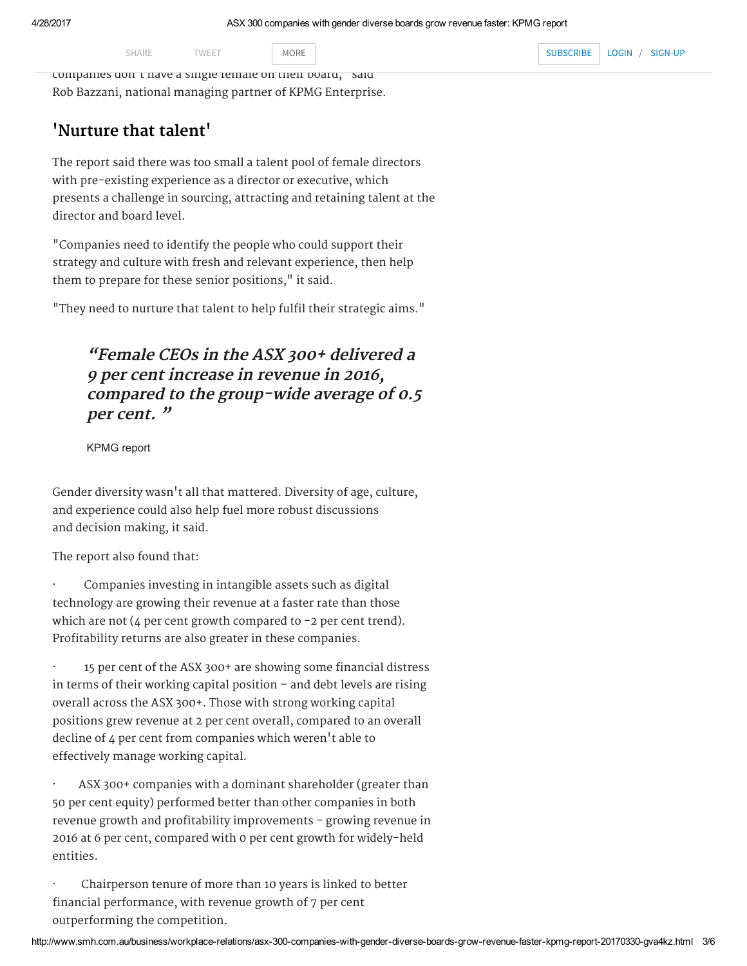companies don't have a single female on their board," said SHARE TWEET MORE MORE SUBSCRIBE LOGIN / Rob Bazzani, national managing partner of KPMG Enterprise.

# 'Nurture that talent'

The report said there was too small a talent pool of female directors with pre-existing experience as a director or executive, which presents a challenge in sourcing, attracting and retaining talent at the director and board level.

"Companies need to identify the people who could support their strategy and culture with fresh and relevant experience, then help them to prepare for these senior positions," it said.

"They need to nurture that talent to help fulfil their strategic aims."

## "Female CEOs in the ASX 300+ delivered a 9 per cent increase in revenue in 2016, compared to the group-wide average of 0.5 per cent. "

KPMG report

Gender diversity wasn't all that mattered. Diversity of age, culture, and experience could also help fuel more robust discussions and decision making, it said.

The report also found that:

Companies investing in intangible assets such as digital technology are growing their revenue at a faster rate than those which are not  $(4$  per cent growth compared to  $-2$  per cent trend). Profitability returns are also greater in these companies.

· 15 per cent of the ASX 300+ are showing some financial distress in terms of their working capital position – and debt levels are rising overall across the ASX 300+. Those with strong working capital positions grew revenue at 2 per cent overall, compared to an overall decline of 4 per cent from companies which weren't able to effectively manage working capital.

ASX 300+ companies with a dominant shareholder (greater than 50 per cent equity) performed better than other companies in both revenue growth and profitability improvements - growing revenue in 2016 at 6 per cent, compared with 0 per cent growth for widely-held entities.

· Chairperson tenure of more than 10 years is linked to better financial performance, with revenue growth of 7 per cent outperforming the competition.

SHARE TWEET MORE MORE SUBSCRIBE LOGIN SHARE TWEET MORE MORE SUBSCRIBE LOGIN / [SIGN-UP](https://smh.myfairfax.com.au/members/members/signup?channel_key=Dks89-tJMqw6zsOGPU5c5Q&callback_uri=http%3A%2F%2Fwww.smh.com.au&single_use_token=true)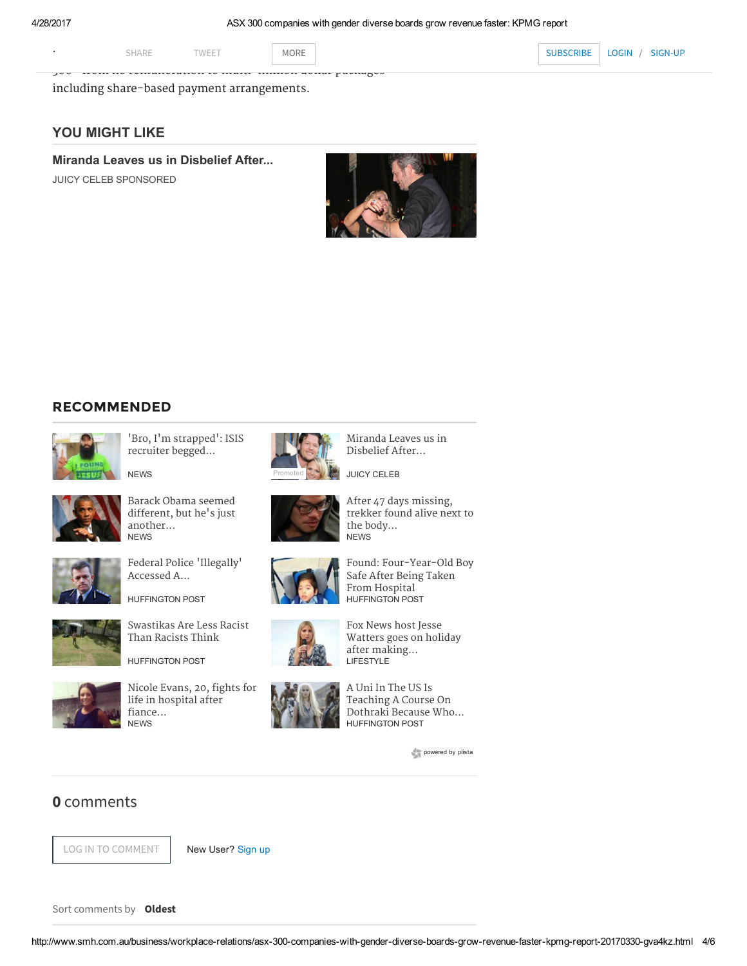$\frac{1}{2}$ 

MORE NORE [L](https://subscribers.smh.com.au/subscribe-all/?iid=houseinv:nnn-16omntA0384-acq-HL-30092016-smh.com-nnn-SUB-nnn-SMH-nnn&campaign_code=smh.com&promote_channel=SMH_A_HI_HL_SUB)OGIN/ SHARE TWEET MORE MORE ACROSS THE ASSESS THE ASSESS THE ASSESS THE ASSESS THE ASSESS THE ASSESS THE ASSESS THE ASSESS THE ASSESS THE ASSESS THE ASSESS THE ASSESS THE ASSESS THE ASSESS THE ASSESS THE ASSESS THE ASSESS THE AS SHARE TWEET MORE MORE SUBSCRIBE LOGIN / [SIGN-UP](https://smh.myfairfax.com.au/members/members/signup?channel_key=Dks89-tJMqw6zsOGPU5c5Q&callback_uri=http%3A%2F%2Fwww.smh.com.au&single_use_token=true)

including share-based payment arrangements.

#### YOU MIGHT LIKE

[Miranda Leaves us in Disbelief After...](http://juicyceleb.com/celebs/miranda-lambert/blake-shelton-and-miranda-lambert-divorcing-report-201547974/)

JUICY CELEB SPONSORED



#### RECOMMENDED



['Bro, I'm strapped': ISIS](http://www.smh.com.au/nsw/bro-im-strapped-isis-recruiter-begged-sydney-man-for-cash-20170426-gvt54f.html) recruiter begged...



[Barack Obama seemed](http://www.smh.com.au/comment/barack-obama-seemed-different-but-hes-just-another-moneygrubbing-politician-20170427-gvu4c4.html) After 47 days missing, different, but he's just and all trekker found alive next another...<br>NEWS NEWS NEWS





HUFFINGTON POST



[Nicole Evans, 20, fights for](http://www.smh.com.au/victoria/woman-20-fights-for-life-in-hospital-after-fiance-allegedly-set-her-on-fire-20170427-gvu58y.html)  $\begin{array}{c} \begin{array}{c} \bullet \end{array}$  A Uni In The US Is life in hospital after  $\begin{array}{c} \bullet \end{array}$  A Uni In The US Is life in hospital after  $\begin{array}{c} \therefore \\ \therefore \end{array}$  Teaching A Course On fiance... fiance... **Communist Secause Who...**<br>NEWS HUFFINGTON POST



[Miranda Leaves us in](http://juicyceleb.com/celebs/miranda-lambert/blake-shelton-and-miranda-lambert-divorcing-report-201547974/)



different, but he's just [trekker found alive next to](http://www.smh.com.au/world/trekker-found-alive-after-47-days-missing-on-nepal-mountain-20170427-gvtj3y.html) the body...



[Federal Police](http://www.huffingtonpost.com.au/2017/04/28/federal-police-illegally-accessed-a-journalists-metadata_a_22059343/?ncid=edlinkauhpmg00000003) 'Illegally' [Found: Four-Year-Old Boy](http://www.huffingtonpost.com.au/2017/04/27/queensland-police-search-for-4-year-old-boy-taken-from-hospital_a_22059191/?ncid=edlinkauhpmg00000003) Accessed A... Safe After Being Taken From Hospital



[Swastikas Are Less Racist](http://www.huffingtonpost.com.au/nama-winston/swastikas-are-less-racist-than-racists-think/?ncid=edlinkauhpmg00000003)<br>
Than Racists Think Fox News host Jesse [Watters goes on holiday](http://www.smh.com.au/lifestyle/news-and-views/fox-news-host-jesse-watters-goes-on-holiday-after-making-lewd-ivanka-trump-comment-20170427-gvu7qv.html) after making...<br>LIFESTYLE



HUFFINGTON POST

[powered by](http://www.plista.com/au) plista

#### <span id="page-3-0"></span>0 comments

LOG IN TO COMMENT LOG IN TO COMMENT | New User? [Sign](https://smh.myfairfax.com.au/members/members/signup?channel_key=Dks89-tJMqw6zsOGPU5c5Q&callback_uri=http%3A%2F%2Fwww.smh.com.au&single_use_token=true) up

New User? Sign up

Sort comments by Oldest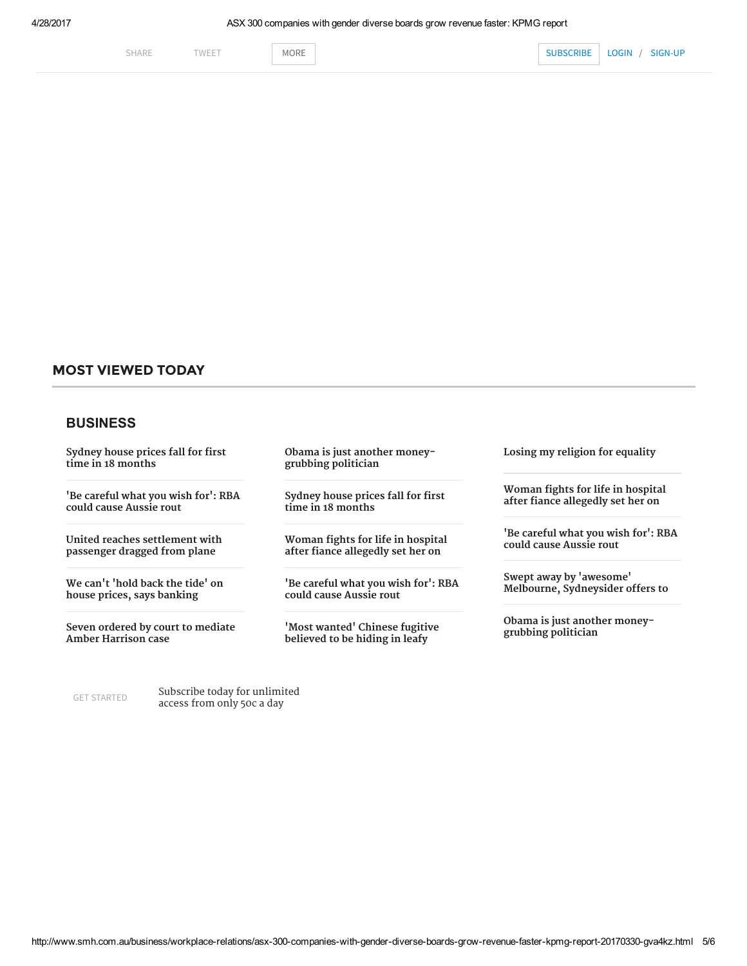#### MOST VIEWED TODAY

#### BUSINESS

 Sydney house prices fall for first time in 18 [months](http://www.smh.com.au/business/the-economy/house-prices-fall-in-sydney-for-first-time-in-18-months-20170428-gvuezo.html)

 'Be [careful](http://www.smh.com.au/business/markets/be-careful-what-you-wish-for-rba-could-cause-aussie-rout-20170427-gvthj0.html) what you wish for': RBA could cause Aussie rout

 United reaches [settlement](http://www.smh.com.au/business/aviation/united-airlines-reaches-settlement-with-passenger-dragged-from-plane-20170427-gvu8fj.html) with passenger dragged from plane

 We can't 'hold back the tide' on house prices, says [banking](http://www.smh.com.au/business/banking-and-finance/we-cant-hold-back-the-tide-in-housing-market-apras-wayne-byres-20170428-gvuqk4.html)

 Seven ordered by court to mediate Amber [Harrison](http://www.smh.com.au/business/media-and-marketing/seven-ordered-by-court-to-mediate-amber-harrison-case-20170428-gvueyv.html) case

GET [STARTED](https://subscribers.smh.com.au/subscribe-all/?iid=houseinv:nnn-16omntA0386-acq-FL-30092016-smh.com-nnn-SUB-nnn-SMH-nnn&campaign_code=smh.com&promote_channel=SMH_A_HI_FL_SUB) **Subscribe today for unlimited**<br> **GET STARTED CARGOS from only 500.0 day** access from only 50c a day

 Obama is just another moneygrubbing [politician](http://www.smh.com.au/comment/barack-obama-seemed-different-but-hes-just-another-moneygrubbing-politician-20170427-gvu4c4.html)

 Sydney house prices fall for first time in 18 [months](http://www.smh.com.au/business/the-economy/house-prices-fall-in-sydney-for-first-time-in-18-months-20170428-gvuezo.html)

 Woman fights for life in hospital after fiance [allegedly](http://www.smh.com.au/victoria/woman-20-fights-for-life-in-hospital-after-fiance-allegedly-set-her-on-fire-20170427-gvu58y.html) set her on

 'Be [careful](http://www.smh.com.au/business/markets/be-careful-what-you-wish-for-rba-could-cause-aussie-rout-20170427-gvthj0.html) what you wish for': RBA could cause Aussie rout

 'Most wanted' Chinese fugitive [believed](http://www.smh.com.au/national/wanted-chinese-fugitive-believed-to-be-hiding-in-plain-sight-on-leafy-inner-west-street-20170427-gvu73h.html) to be hiding in leafy

Losing my religion for [equality](http://www.theage.com.au/federal-politics/losing-my-religion-for-equality-20090714-dk0v.html)

 Woman fights for life in hospital after fiance [allegedly](http://www.theage.com.au/victoria/woman-20-fights-for-life-in-hospital-after-fiance-allegedly-set-her-on-fire-20170427-gvu58y.html) set her on

 'Be [careful](http://www.theage.com.au/business/markets/be-careful-what-you-wish-for-rba-could-cause-aussie-rout-20170427-gvthj0.html) what you wish for': RBA could cause Aussie rout

 Swept away by 'awesome' Melbourne, [Sydneysider](http://www.theage.com.au/victoria/swept-away-by-awesome-melbourne-jealous-sydneysider-offers-to-switch-homes-20170428-gvufog.html) offers to

 Obama is just another moneygrubbing [politician](http://www.theage.com.au/comment/barack-obama-seemed-different-but-hes-just-another-moneygrubbing-politician-20170427-gvu4c4.html)

http://www.smh.com.au/business/workplace-relations/asx-300-companies-with-gender-diverse-boards-grow-revenue-faster-kpmg-report-20170330-gva4kz.html 5/6